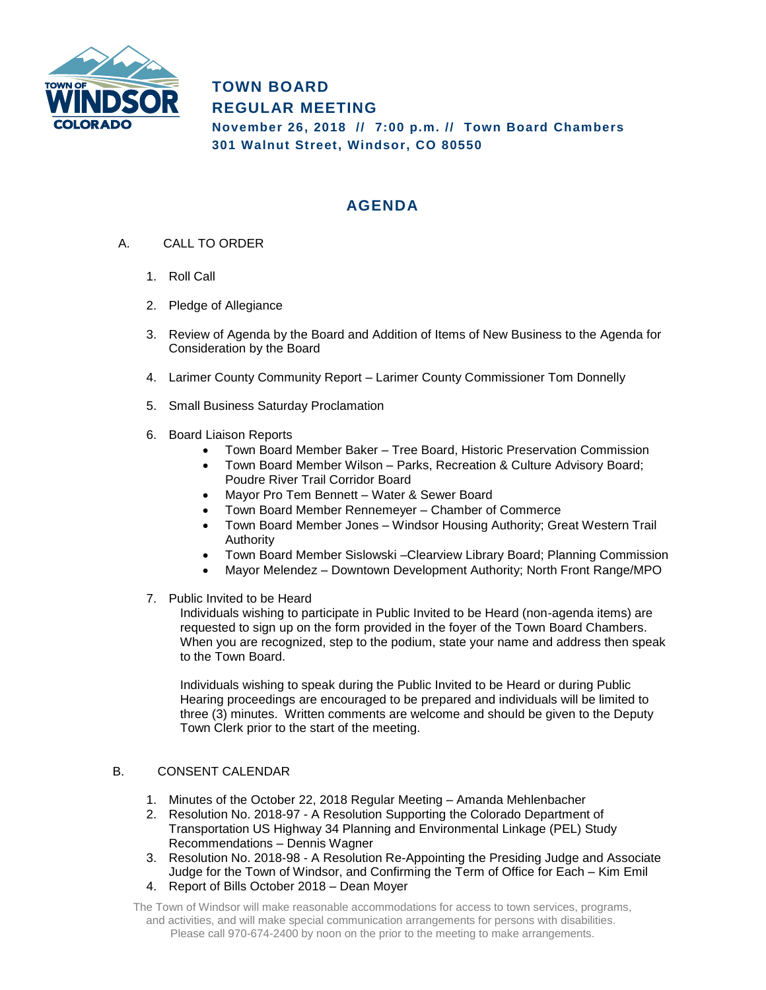

**TOWN BOARD REGULAR MEETING November 26, 2018 // 7:00 p.m. // Town Board Chambers 301 Walnut Street, Windsor, CO 80550**

## **AGENDA**

- A. CALL TO ORDER
	- 1. Roll Call
	- 2. Pledge of Allegiance
	- 3. Review of Agenda by the Board and Addition of Items of New Business to the Agenda for Consideration by the Board
	- 4. Larimer County Community Report Larimer County Commissioner Tom Donnelly
	- 5. Small Business Saturday Proclamation
	- 6. Board Liaison Reports
		- Town Board Member Baker Tree Board, Historic Preservation Commission
		- Town Board Member Wilson Parks, Recreation & Culture Advisory Board; Poudre River Trail Corridor Board
		- Mayor Pro Tem Bennett Water & Sewer Board
		- Town Board Member Rennemeyer Chamber of Commerce
		- Town Board Member Jones Windsor Housing Authority; Great Western Trail Authority
		- Town Board Member Sislowski –Clearview Library Board; Planning Commission
		- Mayor Melendez Downtown Development Authority; North Front Range/MPO
	- 7. Public Invited to be Heard

Individuals wishing to participate in Public Invited to be Heard (non-agenda items) are requested to sign up on the form provided in the foyer of the Town Board Chambers. When you are recognized, step to the podium, state your name and address then speak to the Town Board.

Individuals wishing to speak during the Public Invited to be Heard or during Public Hearing proceedings are encouraged to be prepared and individuals will be limited to three (3) minutes. Written comments are welcome and should be given to the Deputy Town Clerk prior to the start of the meeting.

## B. CONSENT CALENDAR

- 1. Minutes of the October 22, 2018 Regular Meeting Amanda Mehlenbacher
- 2. Resolution No. 2018-97 A Resolution Supporting the Colorado Department of Transportation US Highway 34 Planning and Environmental Linkage (PEL) Study Recommendations – Dennis Wagner
- 3. Resolution No. 2018-98 A Resolution Re-Appointing the Presiding Judge and Associate Judge for the Town of Windsor, and Confirming the Term of Office for Each – Kim Emil
- 4. Report of Bills October 2018 Dean Moyer

The Town of Windsor will make reasonable accommodations for access to town services, programs, and activities, and will make special communication arrangements for persons with disabilities. Please call 970-674-2400 by noon on the prior to the meeting to make arrangements.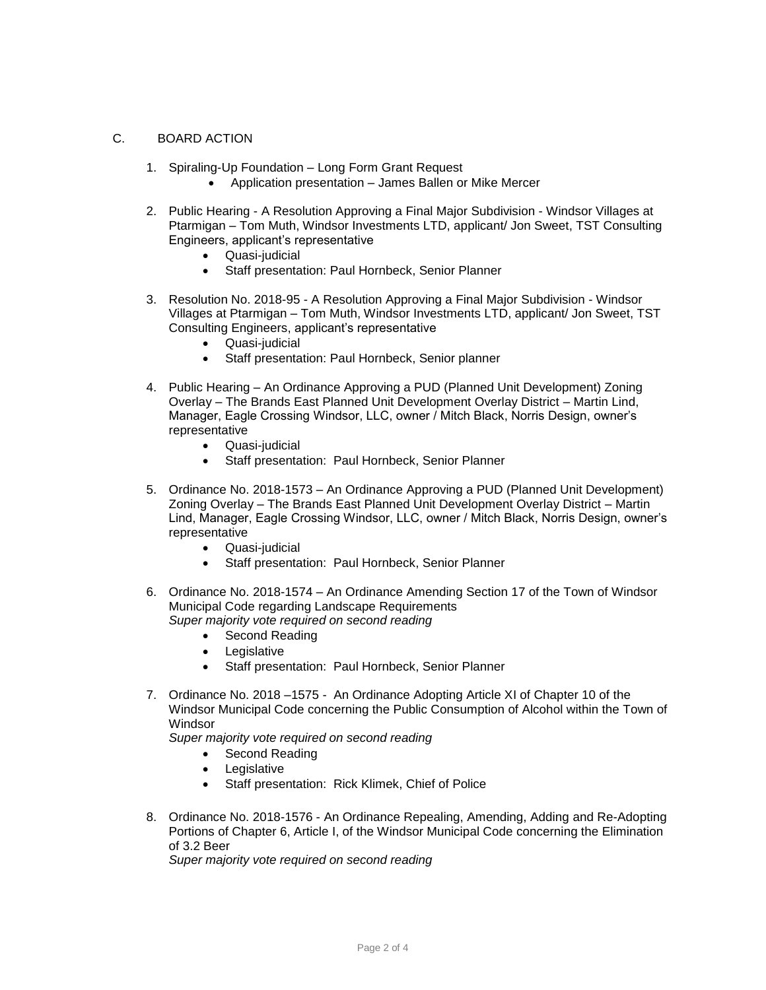## C. BOARD ACTION

- 1. Spiraling-Up Foundation Long Form Grant Request
	- Application presentation James Ballen or Mike Mercer
- 2. Public Hearing A Resolution Approving a Final Major Subdivision Windsor Villages at Ptarmigan – Tom Muth, Windsor Investments LTD, applicant/ Jon Sweet, TST Consulting Engineers, applicant's representative
	- Quasi-judicial
	- Staff presentation: Paul Hornbeck, Senior Planner
- 3. Resolution No. 2018-95 A Resolution Approving a Final Major Subdivision Windsor Villages at Ptarmigan – Tom Muth, Windsor Investments LTD, applicant/ Jon Sweet, TST Consulting Engineers, applicant's representative
	- Quasi-judicial
	- Staff presentation: Paul Hornbeck, Senior planner
- 4. Public Hearing An Ordinance Approving a PUD (Planned Unit Development) Zoning Overlay – The Brands East Planned Unit Development Overlay District – Martin Lind, Manager, Eagle Crossing Windsor, LLC, owner / Mitch Black, Norris Design, owner's representative
	- Quasi-judicial
	- Staff presentation: Paul Hornbeck, Senior Planner
- 5. Ordinance No. 2018-1573 An Ordinance Approving a PUD (Planned Unit Development) Zoning Overlay – The Brands East Planned Unit Development Overlay District – Martin Lind, Manager, Eagle Crossing Windsor, LLC, owner / Mitch Black, Norris Design, owner's representative
	- Quasi-judicial
	- Staff presentation: Paul Hornbeck, Senior Planner
- 6. Ordinance No. 2018-1574 An Ordinance Amending Section 17 of the Town of Windsor Municipal Code regarding Landscape Requirements *Super majority vote required on second reading* 
	- Second Reading
	- Legislative
	- Staff presentation: Paul Hornbeck, Senior Planner
- 7. Ordinance No. 2018 –1575 An Ordinance Adopting Article XI of Chapter 10 of the Windsor Municipal Code concerning the Public Consumption of Alcohol within the Town of **Windsor**

*Super majority vote required on second reading* 

- Second Reading
- Legislative
- Staff presentation: Rick Klimek, Chief of Police
- 8. Ordinance No. 2018-1576 An Ordinance Repealing, Amending, Adding and Re-Adopting Portions of Chapter 6, Article I, of the Windsor Municipal Code concerning the Elimination of 3.2 Beer

*Super majority vote required on second reading*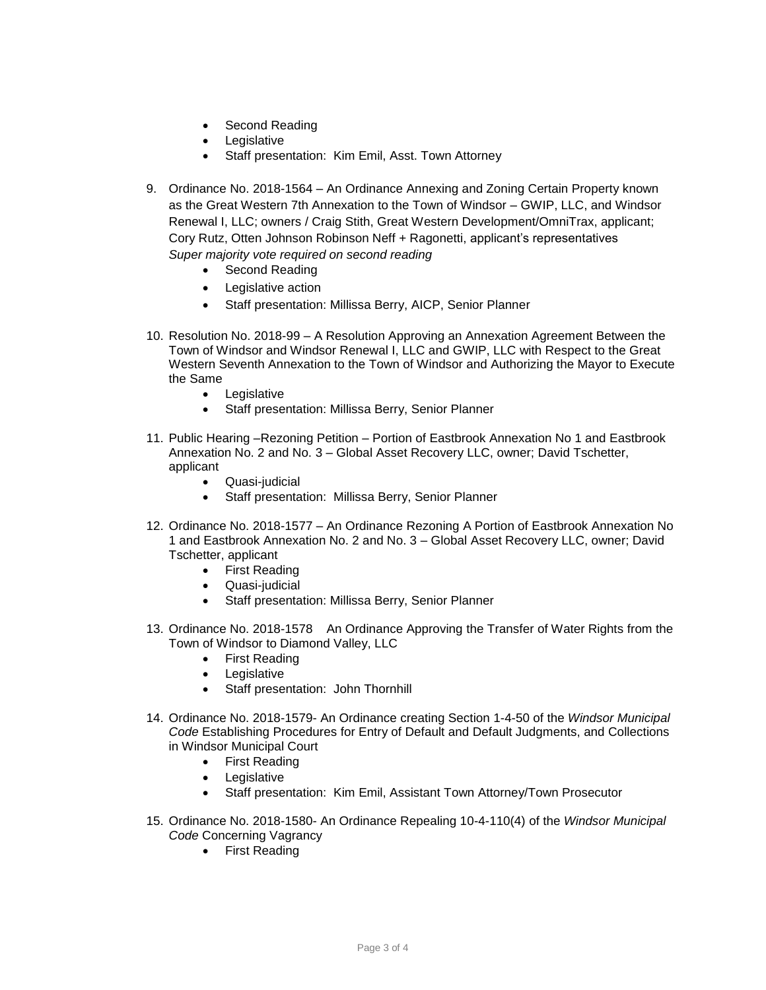- Second Reading
- Legislative
- Staff presentation: Kim Emil, Asst. Town Attorney
- 9. Ordinance No. 2018-1564 An Ordinance Annexing and Zoning Certain Property known as the Great Western 7th Annexation to the Town of Windsor – GWIP, LLC, and Windsor Renewal I, LLC; owners / Craig Stith, Great Western Development/OmniTrax, applicant; Cory Rutz, Otten Johnson Robinson Neff + Ragonetti, applicant's representatives *Super majority vote required on second reading* 
	- Second Reading
	- Legislative action
	- Staff presentation: Millissa Berry, AICP, Senior Planner
- 10. Resolution No. 2018-99 A Resolution Approving an Annexation Agreement Between the Town of Windsor and Windsor Renewal I, LLC and GWIP, LLC with Respect to the Great Western Seventh Annexation to the Town of Windsor and Authorizing the Mayor to Execute the Same
	- Legislative
	- Staff presentation: Millissa Berry, Senior Planner
- 11. Public Hearing –Rezoning Petition Portion of Eastbrook Annexation No 1 and Eastbrook Annexation No. 2 and No. 3 – Global Asset Recovery LLC, owner; David Tschetter, applicant
	- Quasi-judicial
	- Staff presentation: Millissa Berry, Senior Planner
- 12. Ordinance No. 2018-1577 An Ordinance Rezoning A Portion of Eastbrook Annexation No 1 and Eastbrook Annexation No. 2 and No. 3 – Global Asset Recovery LLC, owner; David Tschetter, applicant
	- First Reading
	- Quasi-judicial
	- Staff presentation: Millissa Berry, Senior Planner
- 13. Ordinance No. 2018-1578 An Ordinance Approving the Transfer of Water Rights from the Town of Windsor to Diamond Valley, LLC
	- First Reading
	- Legislative
	- Staff presentation: John Thornhill
- 14. Ordinance No. 2018-1579- An Ordinance creating Section 1-4-50 of the *Windsor Municipal Code* Establishing Procedures for Entry of Default and Default Judgments, and Collections in Windsor Municipal Court
	- First Reading
	- Legislative
	- Staff presentation: Kim Emil, Assistant Town Attorney/Town Prosecutor
- 15. Ordinance No. 2018-1580- An Ordinance Repealing 10-4-110(4) of the *Windsor Municipal Code* Concerning Vagrancy
	- First Reading